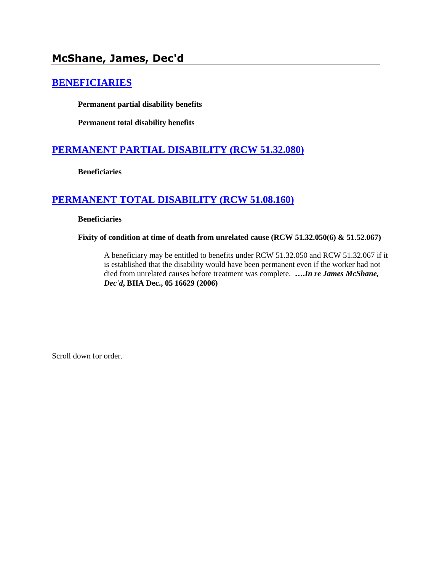# **McShane, James, Dec'd**

# **[BENEFICIARIES](http://www.biia.wa.gov/SDSubjectIndex.html#BENEFICIARIES)**

**Permanent partial disability benefits**

**Permanent total disability benefits**

# **[PERMANENT PARTIAL DISABILITY \(RCW 51.32.080\)](http://www.biia.wa.gov/SDSubjectIndex.html#PERMANENT_PARTIAL_DISABILITY)**

**Beneficiaries**

## **[PERMANENT TOTAL DISABILITY \(RCW 51.08.160\)](http://www.biia.wa.gov/SDSubjectIndex.html#PERMANENT_TOTAL_DISABILITY)**

**Beneficiaries**

**Fixity of condition at time of death from unrelated cause (RCW 51.32.050(6) & 51.52.067)**

A beneficiary may be entitled to benefits under RCW 51.32.050 and RCW 51.32.067 if it is established that the disability would have been permanent even if the worker had not died from unrelated causes before treatment was complete. **….***In re James McShane, Dec'd***, BIIA Dec., 05 16629 (2006)**

Scroll down for order.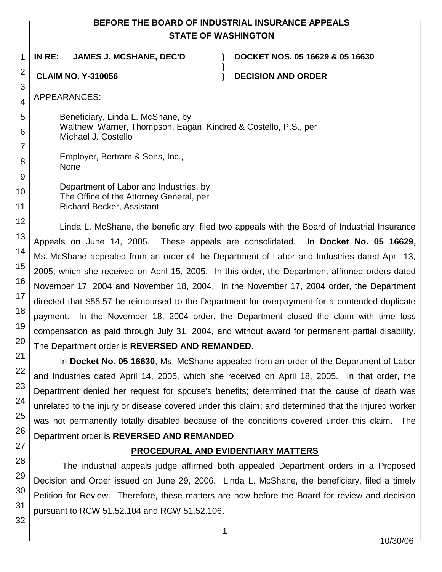## **BEFORE THE BOARD OF INDUSTRIAL INSURANCE APPEALS STATE OF WASHINGTON**

**)**

1 **IN RE: JAMES J. MCSHANE, DEC'D ) DOCKET NOS. 05 16629 & 05 16630**

**CLAIM NO. Y-310056 ) DECISION AND ORDER**

APPEARANCES:

2

3

4

5

6

7

8

Beneficiary, Linda L. McShane, by Walthew, Warner, Thompson, Eagan, Kindred & Costello, P.S., per Michael J. Costello

Employer, Bertram & Sons, Inc., None

Department of Labor and Industries, by The Office of the Attorney General, per Richard Becker, Assistant

Linda L. McShane, the beneficiary, filed two appeals with the Board of Industrial Insurance Appeals on June 14, 2005. These appeals are consolidated. In **Docket No. 05 16629**, Ms. McShane appealed from an order of the Department of Labor and Industries dated April 13, 2005, which she received on April 15, 2005. In this order, the Department affirmed orders dated November 17, 2004 and November 18, 2004. In the November 17, 2004 order, the Department directed that \$55.57 be reimbursed to the Department for overpayment for a contended duplicate payment. In the November 18, 2004 order, the Department closed the claim with time loss compensation as paid through July 31, 2004, and without award for permanent partial disability. The Department order is **REVERSED AND REMANDED**.

In **Docket No. 05 16630**, Ms. McShane appealed from an order of the Department of Labor and Industries dated April 14, 2005, which she received on April 18, 2005. In that order, the Department denied her request for spouse's benefits; determined that the cause of death was unrelated to the injury or disease covered under this claim; and determined that the injured worker was not permanently totally disabled because of the conditions covered under this claim. The Department order is **REVERSED AND REMANDED**.

## **PROCEDURAL AND EVIDENTIARY MATTERS**

The industrial appeals judge affirmed both appealed Department orders in a Proposed Decision and Order issued on June 29, 2006. Linda L. McShane, the beneficiary, filed a timely Petition for Review. Therefore, these matters are now before the Board for review and decision pursuant to RCW 51.52.104 and RCW 51.52.106.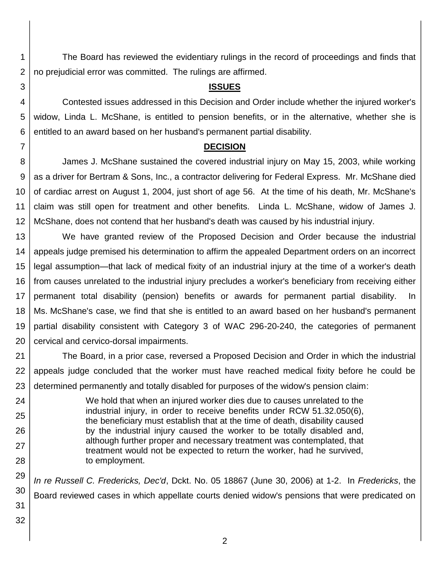The Board has reviewed the evidentiary rulings in the record of proceedings and finds that no prejudicial error was committed. The rulings are affirmed.

## **ISSUES**

Contested issues addressed in this Decision and Order include whether the injured worker's widow, Linda L. McShane, is entitled to pension benefits, or in the alternative, whether she is entitled to an award based on her husband's permanent partial disability.

## **DECISION**

8 9 10 11 12 James J. McShane sustained the covered industrial injury on May 15, 2003, while working as a driver for Bertram & Sons, Inc., a contractor delivering for Federal Express. Mr. McShane died of cardiac arrest on August 1, 2004, just short of age 56. At the time of his death, Mr. McShane's claim was still open for treatment and other benefits. Linda L. McShane, widow of James J. McShane, does not contend that her husband's death was caused by his industrial injury.

13 14 15 16 17 18 19 20 We have granted review of the Proposed Decision and Order because the industrial appeals judge premised his determination to affirm the appealed Department orders on an incorrect legal assumption—that lack of medical fixity of an industrial injury at the time of a worker's death from causes unrelated to the industrial injury precludes a worker's beneficiary from receiving either permanent total disability (pension) benefits or awards for permanent partial disability. In Ms. McShane's case, we find that she is entitled to an award based on her husband's permanent partial disability consistent with Category 3 of WAC 296-20-240, the categories of permanent cervical and cervico-dorsal impairments.

21 22 23 The Board, in a prior case, reversed a Proposed Decision and Order in which the industrial appeals judge concluded that the worker must have reached medical fixity before he could be determined permanently and totally disabled for purposes of the widow's pension claim:

> We hold that when an injured worker dies due to causes unrelated to the industrial injury, in order to receive benefits under RCW 51.32.050(6), the beneficiary must establish that at the time of death, disability caused by the industrial injury caused the worker to be totally disabled and, although further proper and necessary treatment was contemplated, that treatment would not be expected to return the worker, had he survived, to employment.

29 30 31 *In re Russell C. Fredericks, Dec'd*, Dckt. No. 05 18867 (June 30, 2006) at 1-2. In *Fredericks*, the Board reviewed cases in which appellate courts denied widow's pensions that were predicated on

26 27 28

32

24

25

1

2

3

4

5

6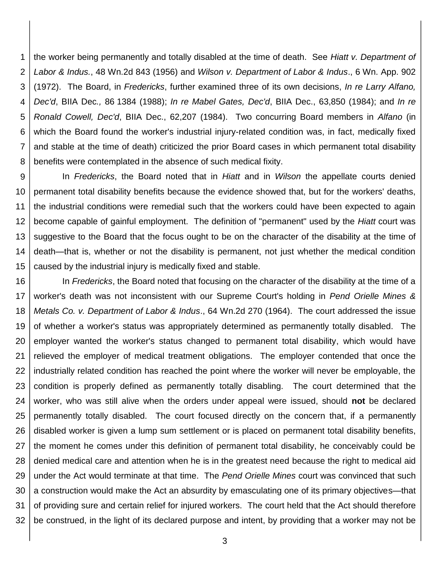1 2 3 4 5 6 7 8 the worker being permanently and totally disabled at the time of death. See *Hiatt v. Department of Labor & Indus.*, 48 Wn.2d 843 (1956) and *Wilson v. Department of Labor & Indus*., 6 Wn. App. 902 (1972). The Board, in *Fredericks*, further examined three of its own decisions, *In re Larry Alfano, Dec'd*, BIIA Dec*.,* 86 1384 (1988); *In re Mabel Gates, Dec'd*, BIIA Dec., 63,850 (1984); and *In re Ronald Cowell, Dec'd*, BIIA Dec., 62,207 (1984). Two concurring Board members in *Alfano* (in which the Board found the worker's industrial injury-related condition was, in fact, medically fixed and stable at the time of death) criticized the prior Board cases in which permanent total disability benefits were contemplated in the absence of such medical fixity.

9 10 11 12 13 14 15 In *Fredericks*, the Board noted that in *Hiatt* and in *Wilson* the appellate courts denied permanent total disability benefits because the evidence showed that, but for the workers' deaths, the industrial conditions were remedial such that the workers could have been expected to again become capable of gainful employment. The definition of "permanent" used by the *Hiatt* court was suggestive to the Board that the focus ought to be on the character of the disability at the time of death—that is, whether or not the disability is permanent, not just whether the medical condition caused by the industrial injury is medically fixed and stable.

16 17 18 19 20 21 22 23 24 25 26 27 28 29 30 31 32 In *Fredericks*, the Board noted that focusing on the character of the disability at the time of a worker's death was not inconsistent with our Supreme Court's holding in *Pend Orielle Mines & Metals Co. v. Department of Labor & Indus*., 64 Wn.2d 270 (1964). The court addressed the issue of whether a worker's status was appropriately determined as permanently totally disabled. The employer wanted the worker's status changed to permanent total disability, which would have relieved the employer of medical treatment obligations. The employer contended that once the industrially related condition has reached the point where the worker will never be employable, the condition is properly defined as permanently totally disabling. The court determined that the worker, who was still alive when the orders under appeal were issued, should **not** be declared permanently totally disabled. The court focused directly on the concern that, if a permanently disabled worker is given a lump sum settlement or is placed on permanent total disability benefits, the moment he comes under this definition of permanent total disability, he conceivably could be denied medical care and attention when he is in the greatest need because the right to medical aid under the Act would terminate at that time. The *Pend Orielle Mines* court was convinced that such a construction would make the Act an absurdity by emasculating one of its primary objectives—that of providing sure and certain relief for injured workers. The court held that the Act should therefore be construed, in the light of its declared purpose and intent, by providing that a worker may not be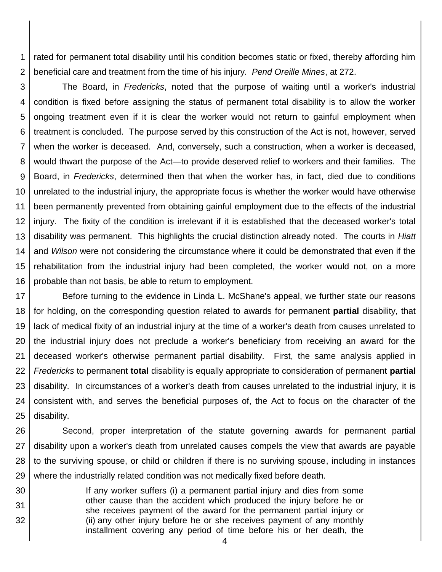1 2 rated for permanent total disability until his condition becomes static or fixed, thereby affording him beneficial care and treatment from the time of his injury. *Pend Oreille Mines*, at 272.

3 4 5 6 7 8 9 10 11 12 13 14 15 16 The Board, in *Fredericks*, noted that the purpose of waiting until a worker's industrial condition is fixed before assigning the status of permanent total disability is to allow the worker ongoing treatment even if it is clear the worker would not return to gainful employment when treatment is concluded. The purpose served by this construction of the Act is not, however, served when the worker is deceased. And, conversely, such a construction, when a worker is deceased, would thwart the purpose of the Act—to provide deserved relief to workers and their families. The Board, in *Fredericks*, determined then that when the worker has, in fact, died due to conditions unrelated to the industrial injury, the appropriate focus is whether the worker would have otherwise been permanently prevented from obtaining gainful employment due to the effects of the industrial injury. The fixity of the condition is irrelevant if it is established that the deceased worker's total disability was permanent. This highlights the crucial distinction already noted. The courts in *Hiatt* and *Wilson* were not considering the circumstance where it could be demonstrated that even if the rehabilitation from the industrial injury had been completed, the worker would not, on a more probable than not basis, be able to return to employment.

17 18 19 20 21 22 23 24 25 Before turning to the evidence in Linda L. McShane's appeal, we further state our reasons for holding, on the corresponding question related to awards for permanent **partial** disability, that lack of medical fixity of an industrial injury at the time of a worker's death from causes unrelated to the industrial injury does not preclude a worker's beneficiary from receiving an award for the deceased worker's otherwise permanent partial disability. First, the same analysis applied in *Fredericks* to permanent **total** disability is equally appropriate to consideration of permanent **partial** disability. In circumstances of a worker's death from causes unrelated to the industrial injury, it is consistent with, and serves the beneficial purposes of, the Act to focus on the character of the disability.

26 27 28 29 Second, proper interpretation of the statute governing awards for permanent partial disability upon a worker's death from unrelated causes compels the view that awards are payable to the surviving spouse, or child or children if there is no surviving spouse, including in instances where the industrially related condition was not medically fixed before death.

30 31 32 If any worker suffers (i) a permanent partial injury and dies from some other cause than the accident which produced the injury before he or she receives payment of the award for the permanent partial injury or (ii) any other injury before he or she receives payment of any monthly installment covering any period of time before his or her death, the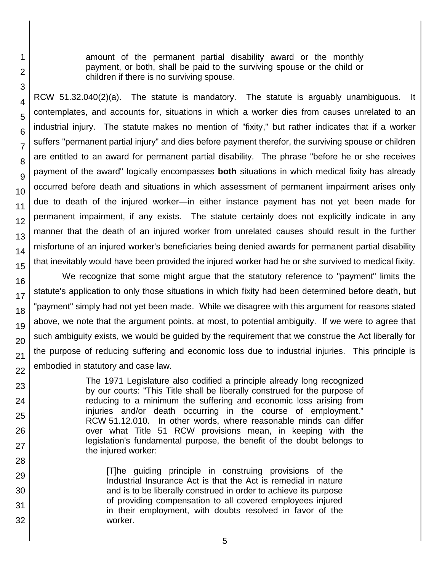amount of the permanent partial disability award or the monthly payment, or both, shall be paid to the surviving spouse or the child or children if there is no surviving spouse.

RCW 51.32.040(2)(a). The statute is mandatory. The statute is arguably unambiguous. It contemplates, and accounts for, situations in which a worker dies from causes unrelated to an industrial injury. The statute makes no mention of "fixity," but rather indicates that if a worker suffers "permanent partial injury" and dies before payment therefor, the surviving spouse or children are entitled to an award for permanent partial disability. The phrase "before he or she receives payment of the award" logically encompasses **both** situations in which medical fixity has already occurred before death and situations in which assessment of permanent impairment arises only due to death of the injured worker—in either instance payment has not yet been made for permanent impairment, if any exists. The statute certainly does not explicitly indicate in any manner that the death of an injured worker from unrelated causes should result in the further misfortune of an injured worker's beneficiaries being denied awards for permanent partial disability that inevitably would have been provided the injured worker had he or she survived to medical fixity.

We recognize that some might argue that the statutory reference to "payment" limits the statute's application to only those situations in which fixity had been determined before death, but "payment" simply had not yet been made. While we disagree with this argument for reasons stated above, we note that the argument points, at most, to potential ambiguity. If we were to agree that such ambiguity exists, we would be guided by the requirement that we construe the Act liberally for the purpose of reducing suffering and economic loss due to industrial injuries. This principle is embodied in statutory and case law.

> The 1971 Legislature also codified a principle already long recognized by our courts: "This Title shall be liberally construed for the purpose of reducing to a minimum the suffering and economic loss arising from injuries and/or death occurring in the course of employment." RCW 51.12.010. In other words, where reasonable minds can differ over what Title 51 RCW provisions mean, in keeping with the legislation's fundamental purpose, the benefit of the doubt belongs to the injured worker:

[T]he guiding principle in construing provisions of the Industrial Insurance Act is that the Act is remedial in nature and is to be liberally construed in order to achieve its purpose of providing compensation to all covered employees injured in their employment, with doubts resolved in favor of the worker.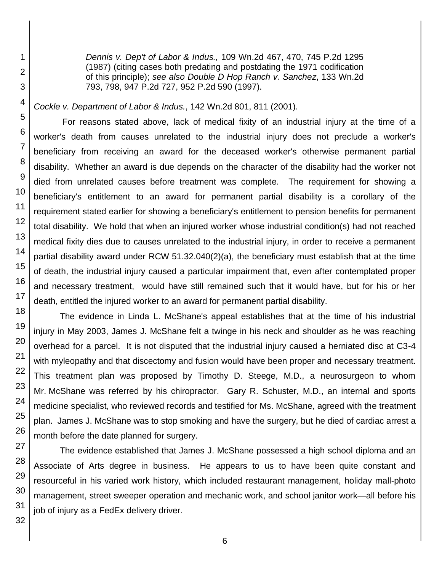*Dennis v. Dep't of Labor & Indus.,* 109 Wn.2d 467, 470, 745 P.2d 1295 (1987) (citing cases both predating and postdating the 1971 codification of this principle); *see also Double D Hop Ranch v. Sanchez*, 133 Wn.2d 793, 798, 947 P.2d 727, 952 P.2d 590 (1997).

*Cockle v. Department of Labor & Indus.*, 142 Wn.2d 801, 811 (2001).

For reasons stated above, lack of medical fixity of an industrial injury at the time of a worker's death from causes unrelated to the industrial injury does not preclude a worker's beneficiary from receiving an award for the deceased worker's otherwise permanent partial disability. Whether an award is due depends on the character of the disability had the worker not died from unrelated causes before treatment was complete. The requirement for showing a beneficiary's entitlement to an award for permanent partial disability is a corollary of the requirement stated earlier for showing a beneficiary's entitlement to pension benefits for permanent total disability. We hold that when an injured worker whose industrial condition(s) had not reached medical fixity dies due to causes unrelated to the industrial injury, in order to receive a permanent partial disability award under RCW 51.32.040(2)(a), the beneficiary must establish that at the time of death, the industrial injury caused a particular impairment that, even after contemplated proper and necessary treatment, would have still remained such that it would have, but for his or her death, entitled the injured worker to an award for permanent partial disability.

The evidence in Linda L. McShane's appeal establishes that at the time of his industrial injury in May 2003, James J. McShane felt a twinge in his neck and shoulder as he was reaching overhead for a parcel. It is not disputed that the industrial injury caused a herniated disc at C3-4 with myleopathy and that discectomy and fusion would have been proper and necessary treatment. This treatment plan was proposed by Timothy D. Steege, M.D., a neurosurgeon to whom Mr. McShane was referred by his chiropractor. Gary R. Schuster, M.D., an internal and sports medicine specialist, who reviewed records and testified for Ms. McShane, agreed with the treatment plan. James J. McShane was to stop smoking and have the surgery, but he died of cardiac arrest a month before the date planned for surgery.

The evidence established that James J. McShane possessed a high school diploma and an Associate of Arts degree in business. He appears to us to have been quite constant and resourceful in his varied work history, which included restaurant management, holiday mall-photo management, street sweeper operation and mechanic work, and school janitor work—all before his job of injury as a FedEx delivery driver.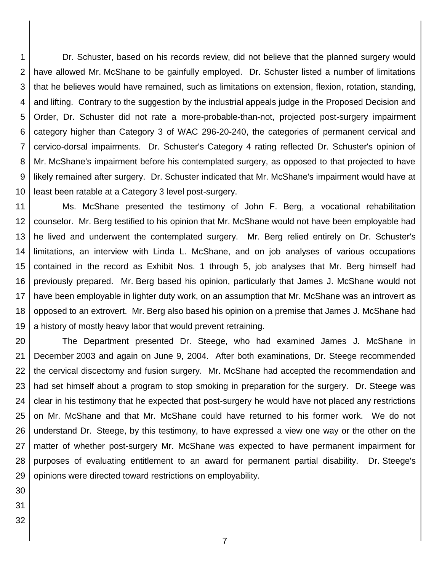1 2 3 4 5 6 7 8 9 10 Dr. Schuster, based on his records review, did not believe that the planned surgery would have allowed Mr. McShane to be gainfully employed. Dr. Schuster listed a number of limitations that he believes would have remained, such as limitations on extension, flexion, rotation, standing, and lifting. Contrary to the suggestion by the industrial appeals judge in the Proposed Decision and Order, Dr. Schuster did not rate a more-probable-than-not, projected post-surgery impairment category higher than Category 3 of WAC 296-20-240, the categories of permanent cervical and cervico-dorsal impairments. Dr. Schuster's Category 4 rating reflected Dr. Schuster's opinion of Mr. McShane's impairment before his contemplated surgery, as opposed to that projected to have likely remained after surgery. Dr. Schuster indicated that Mr. McShane's impairment would have at least been ratable at a Category 3 level post-surgery.

11 12 13 14 15 16 17 18 19 Ms. McShane presented the testimony of John F. Berg, a vocational rehabilitation counselor. Mr. Berg testified to his opinion that Mr. McShane would not have been employable had he lived and underwent the contemplated surgery. Mr. Berg relied entirely on Dr. Schuster's limitations, an interview with Linda L. McShane, and on job analyses of various occupations contained in the record as Exhibit Nos. 1 through 5, job analyses that Mr. Berg himself had previously prepared. Mr. Berg based his opinion, particularly that James J. McShane would not have been employable in lighter duty work, on an assumption that Mr. McShane was an introvert as opposed to an extrovert. Mr. Berg also based his opinion on a premise that James J. McShane had a history of mostly heavy labor that would prevent retraining.

20 21 22 23 24 25 26 27 28 29 The Department presented Dr. Steege, who had examined James J. McShane in December 2003 and again on June 9, 2004. After both examinations, Dr. Steege recommended the cervical discectomy and fusion surgery. Mr. McShane had accepted the recommendation and had set himself about a program to stop smoking in preparation for the surgery. Dr. Steege was clear in his testimony that he expected that post-surgery he would have not placed any restrictions on Mr. McShane and that Mr. McShane could have returned to his former work. We do not understand Dr. Steege, by this testimony, to have expressed a view one way or the other on the matter of whether post-surgery Mr. McShane was expected to have permanent impairment for purposes of evaluating entitlement to an award for permanent partial disability. Dr. Steege's opinions were directed toward restrictions on employability.

- 30
- 31
- 32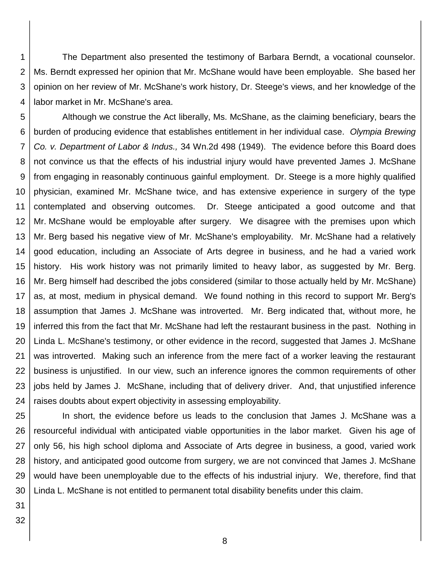1 2 3 4 The Department also presented the testimony of Barbara Berndt, a vocational counselor. Ms. Berndt expressed her opinion that Mr. McShane would have been employable. She based her opinion on her review of Mr. McShane's work history, Dr. Steege's views, and her knowledge of the labor market in Mr. McShane's area.

5 6 7 8 9 10 11 12 13 14 15 16 17 18 19 20 21 22 23 24 Although we construe the Act liberally, Ms. McShane, as the claiming beneficiary, bears the burden of producing evidence that establishes entitlement in her individual case. *Olympia Brewing Co. v. Department of Labor & Indus.,* 34 Wn.2d 498 (1949). The evidence before this Board does not convince us that the effects of his industrial injury would have prevented James J. McShane from engaging in reasonably continuous gainful employment. Dr. Steege is a more highly qualified physician, examined Mr. McShane twice, and has extensive experience in surgery of the type contemplated and observing outcomes. Dr. Steege anticipated a good outcome and that Mr. McShane would be employable after surgery. We disagree with the premises upon which Mr. Berg based his negative view of Mr. McShane's employability. Mr. McShane had a relatively good education, including an Associate of Arts degree in business, and he had a varied work history. His work history was not primarily limited to heavy labor, as suggested by Mr. Berg. Mr. Berg himself had described the jobs considered (similar to those actually held by Mr. McShane) as, at most, medium in physical demand. We found nothing in this record to support Mr. Berg's assumption that James J. McShane was introverted. Mr. Berg indicated that, without more, he inferred this from the fact that Mr. McShane had left the restaurant business in the past. Nothing in Linda L. McShane's testimony, or other evidence in the record, suggested that James J. McShane was introverted. Making such an inference from the mere fact of a worker leaving the restaurant business is unjustified. In our view, such an inference ignores the common requirements of other jobs held by James J. McShane, including that of delivery driver. And, that unjustified inference raises doubts about expert objectivity in assessing employability.

25 26 27 28 29 30 In short, the evidence before us leads to the conclusion that James J. McShane was a resourceful individual with anticipated viable opportunities in the labor market. Given his age of only 56, his high school diploma and Associate of Arts degree in business, a good, varied work history, and anticipated good outcome from surgery, we are not convinced that James J. McShane would have been unemployable due to the effects of his industrial injury. We, therefore, find that Linda L. McShane is not entitled to permanent total disability benefits under this claim.

31 32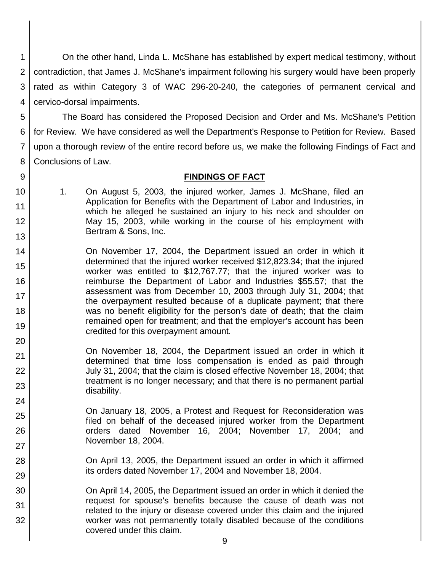1 2 3 4 On the other hand, Linda L. McShane has established by expert medical testimony, without contradiction, that James J. McShane's impairment following his surgery would have been properly rated as within Category 3 of WAC 296-20-240, the categories of permanent cervical and cervico-dorsal impairments.

5 6 7 8 The Board has considered the Proposed Decision and Order and Ms. McShane's Petition for Review. We have considered as well the Department's Response to Petition for Review. Based upon a thorough review of the entire record before us, we make the following Findings of Fact and Conclusions of Law.

### **FINDINGS OF FACT**

10 11 12 13 1. On August 5, 2003, the injured worker, James J. McShane, filed an Application for Benefits with the Department of Labor and Industries, in which he alleged he sustained an injury to his neck and shoulder on May 15, 2003, while working in the course of his employment with Bertram & Sons, Inc.

9

21 22

23

24

25

26

27

28

29 30

31

32

- 14 15 16 17 18 19 20 On November 17, 2004, the Department issued an order in which it determined that the injured worker received \$12,823.34; that the injured worker was entitled to \$12,767.77; that the injured worker was to reimburse the Department of Labor and Industries \$55.57; that the assessment was from December 10, 2003 through July 31, 2004; that the overpayment resulted because of a duplicate payment; that there was no benefit eligibility for the person's date of death; that the claim remained open for treatment; and that the employer's account has been credited for this overpayment amount.
	- On November 18, 2004, the Department issued an order in which it determined that time loss compensation is ended as paid through July 31, 2004; that the claim is closed effective November 18, 2004; that treatment is no longer necessary; and that there is no permanent partial disability.

On January 18, 2005, a Protest and Request for Reconsideration was filed on behalf of the deceased injured worker from the Department orders dated November 16, 2004; November 17, 2004; and November 18, 2004.

On April 13, 2005, the Department issued an order in which it affirmed its orders dated November 17, 2004 and November 18, 2004.

On April 14, 2005, the Department issued an order in which it denied the request for spouse's benefits because the cause of death was not related to the injury or disease covered under this claim and the injured worker was not permanently totally disabled because of the conditions covered under this claim.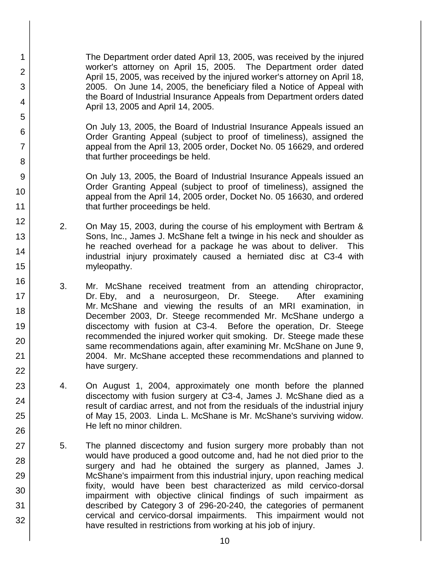The Department order dated April 13, 2005, was received by the injured worker's attorney on April 15, 2005. The Department order dated April 15, 2005, was received by the injured worker's attorney on April 18, 2005. On June 14, 2005, the beneficiary filed a Notice of Appeal with the Board of Industrial Insurance Appeals from Department orders dated April 13, 2005 and April 14, 2005.

1

2

3

4

5

6

7

8

9

10

11

12

13

14

15

16

17 18

19

20

21 22

23

24

25

26

27

28

29

30

31

32

On July 13, 2005, the Board of Industrial Insurance Appeals issued an Order Granting Appeal (subject to proof of timeliness), assigned the appeal from the April 13, 2005 order, Docket No. 05 16629, and ordered that further proceedings be held.

On July 13, 2005, the Board of Industrial Insurance Appeals issued an Order Granting Appeal (subject to proof of timeliness), assigned the appeal from the April 14, 2005 order, Docket No. 05 16630, and ordered that further proceedings be held.

- 2. On May 15, 2003, during the course of his employment with Bertram & Sons, Inc., James J. McShane felt a twinge in his neck and shoulder as he reached overhead for a package he was about to deliver. This industrial injury proximately caused a herniated disc at C3-4 with myleopathy.
- 3. Mr. McShane received treatment from an attending chiropractor, Dr. Eby, and a neurosurgeon, Dr. Steege. After examining Mr. McShane and viewing the results of an MRI examination, in December 2003, Dr. Steege recommended Mr. McShane undergo a discectomy with fusion at C3-4. Before the operation, Dr. Steege recommended the injured worker quit smoking. Dr. Steege made these same recommendations again, after examining Mr. McShane on June 9, 2004. Mr. McShane accepted these recommendations and planned to have surgery.
- 4. On August 1, 2004, approximately one month before the planned discectomy with fusion surgery at C3-4, James J. McShane died as a result of cardiac arrest, and not from the residuals of the industrial injury of May 15, 2003. Linda L. McShane is Mr. McShane's surviving widow. He left no minor children.
- 5. The planned discectomy and fusion surgery more probably than not would have produced a good outcome and, had he not died prior to the surgery and had he obtained the surgery as planned, James J. McShane's impairment from this industrial injury, upon reaching medical fixity, would have been best characterized as mild cervico-dorsal impairment with objective clinical findings of such impairment as described by Category 3 of 296-20-240, the categories of permanent cervical and cervico-dorsal impairments. This impairment would not have resulted in restrictions from working at his job of injury.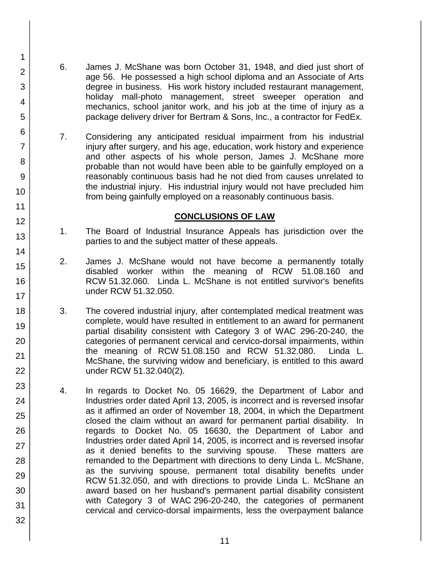6. James J. McShane was born October 31, 1948, and died just short of age 56. He possessed a high school diploma and an Associate of Arts degree in business. His work history included restaurant management, holiday mall-photo management, street sweeper operation and mechanics, school janitor work, and his job at the time of injury as a package delivery driver for Bertram & Sons, Inc., a contractor for FedEx.

1

2

3

4

5

6

7

8

9

10

11

12

13

14

15

16

17 18

19

20

21 22

23

24 25

26

27

28

29

30

31

32

7. Considering any anticipated residual impairment from his industrial injury after surgery, and his age, education, work history and experience and other aspects of his whole person, James J. McShane more probable than not would have been able to be gainfully employed on a reasonably continuous basis had he not died from causes unrelated to the industrial injury. His industrial injury would not have precluded him from being gainfully employed on a reasonably continuous basis.

## **CONCLUSIONS OF LAW**

- 1. The Board of Industrial Insurance Appeals has jurisdiction over the parties to and the subject matter of these appeals.
- 2. James J. McShane would not have become a permanently totally disabled worker within the meaning of RCW 51.08.160 and RCW 51.32.060. Linda L. McShane is not entitled survivor's benefits under RCW 51.32.050.
- 3. The covered industrial injury, after contemplated medical treatment was complete, would have resulted in entitlement to an award for permanent partial disability consistent with Category 3 of WAC 296-20-240, the categories of permanent cervical and cervico-dorsal impairments, within the meaning of RCW 51.08.150 and RCW 51.32.080. Linda L. McShane, the surviving widow and beneficiary, is entitled to this award under RCW 51.32.040(2).
- 4. In regards to Docket No. 05 16629, the Department of Labor and Industries order dated April 13, 2005, is incorrect and is reversed insofar as it affirmed an order of November 18, 2004, in which the Department closed the claim without an award for permanent partial disability. In regards to Docket No. 05 16630, the Department of Labor and Industries order dated April 14, 2005, is incorrect and is reversed insofar as it denied benefits to the surviving spouse. These matters are remanded to the Department with directions to deny Linda L. McShane, as the surviving spouse, permanent total disability benefits under RCW 51.32.050, and with directions to provide Linda L. McShane an award based on her husband's permanent partial disability consistent with Category 3 of WAC 296-20-240, the categories of permanent cervical and cervico-dorsal impairments, less the overpayment balance